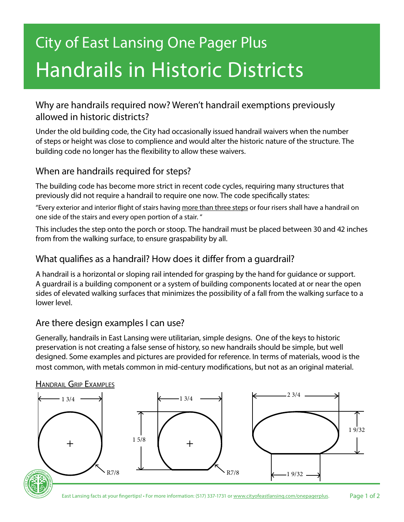# City of East Lansing One Pager Plus Handrails in Historic Districts

# Why are handrails required now? Weren't handrail exemptions previously allowed in historic districts?

Under the old building code, the City had occasionally issued handrail waivers when the number of steps or height was close to complience and would alter the historic nature of the structure. The building code no longer has the flexibility to allow these waivers.

# When are handrails required for steps?

The building code has become more strict in recent code cycles, requiring many structures that previously did not require a handrail to require one now. The code specifically states:

"Every exterior and interior flight of stairs having more than three steps or four risers shall have a handrail on one side of the stairs and every open portion of a stair. "

This includes the step onto the porch or stoop. The handrail must be placed between 30 and 42 inches from from the walking surface, to ensure graspability by all.

## What qualifies as a handrail? How does it differ from a guardrail?

A handrail is a horizontal or sloping rail intended for grasping by the hand for guidance or support. A guardrail is a building component or a system of building components located at or near the open sides of elevated walking surfaces that minimizes the possibility of a fall from the walking surface to a lower level.

#### Are there design examples I can use?

Generally, handrails in East Lansing were utilitarian, simple designs. One of the keys to historic preservation is not creating a false sense of history, so new handrails should be simple, but well designed. Some examples and pictures are provided for reference. In terms of materials, wood is the most common, with metals common in mid-century modifications, but not as an original material.